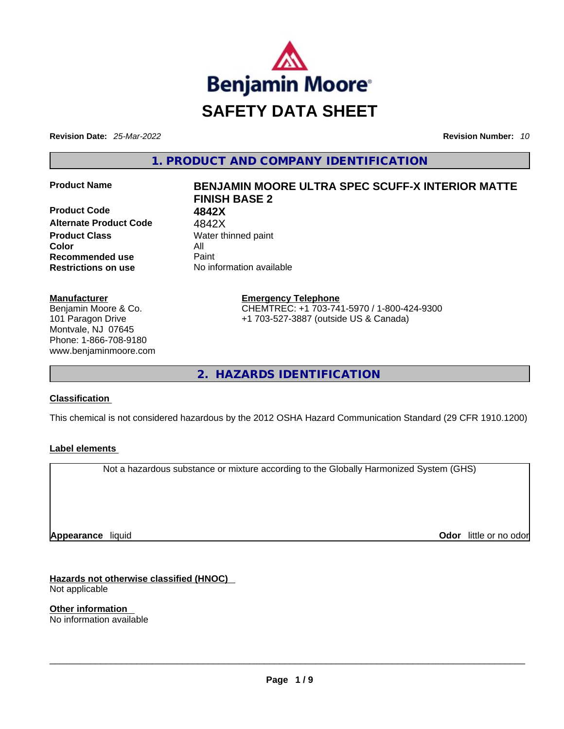

**Revision Date:** *25-Mar-2022* **Revision Number:** *10*

**1. PRODUCT AND COMPANY IDENTIFICATION** 

**Product Code 4842X Alternate Product Code** 4842X **Product Class Water thinned paint Color** All **Recommended use** Paint **Restrictions on use** No information available

#### **Manufacturer**

Benjamin Moore & Co. 101 Paragon Drive Montvale, NJ 07645 Phone: 1-866-708-9180 www.benjaminmoore.com

# **Product Name BENJAMIN MOORE ULTRA SPEC SCUFF-X INTERIOR MATTE FINISH BASE 2**

**Emergency Telephone** CHEMTREC: +1 703-741-5970 / 1-800-424-9300 +1 703-527-3887 (outside US & Canada)

**2. HAZARDS IDENTIFICATION** 

### **Classification**

This chemical is not considered hazardous by the 2012 OSHA Hazard Communication Standard (29 CFR 1910.1200)

### **Label elements**

Not a hazardous substance or mixture according to the Globally Harmonized System (GHS)

**Appearance** liquid

**Odor** little or no odor

**Hazards not otherwise classified (HNOC)**  Not applicable

**Other information**  No information available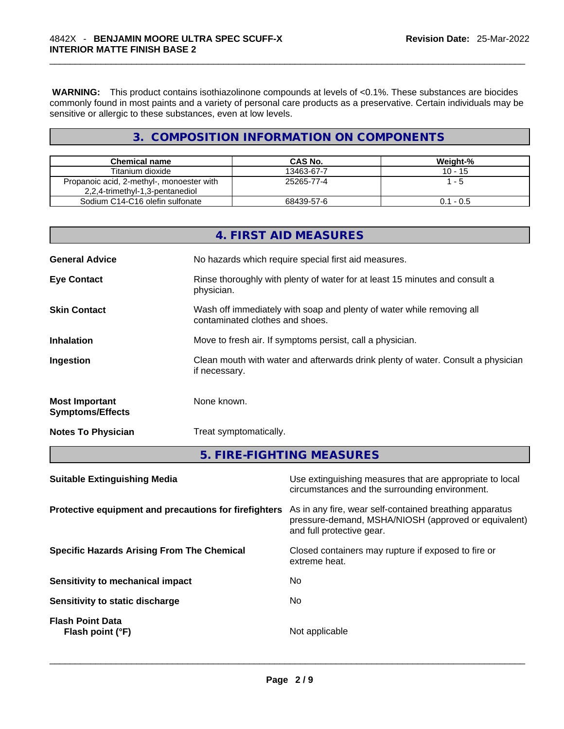**WARNING:** This product contains isothiazolinone compounds at levels of <0.1%. These substances are biocides commonly found in most paints and a variety of personal care products as a preservative. Certain individuals may be sensitive or allergic to these substances, even at low levels.

# **3. COMPOSITION INFORMATION ON COMPONENTS**

| <b>Chemical name</b>                                                         | CAS No.    | Weight-%    |
|------------------------------------------------------------------------------|------------|-------------|
| Titanium dioxide                                                             | 13463-67-7 | $10 - 15$   |
| Propanoic acid, 2-methyl-, monoester with<br>2,2,4-trimethyl-1,3-pentanediol | 25265-77-4 | l - 5       |
| Sodium C14-C16 olefin sulfonate                                              | 68439-57-6 | $0.1 - 0.5$ |

|                                                  | 4. FIRST AID MEASURES                                                                                    |
|--------------------------------------------------|----------------------------------------------------------------------------------------------------------|
| <b>General Advice</b>                            | No hazards which require special first aid measures.                                                     |
| <b>Eye Contact</b>                               | Rinse thoroughly with plenty of water for at least 15 minutes and consult a<br>physician.                |
| <b>Skin Contact</b>                              | Wash off immediately with soap and plenty of water while removing all<br>contaminated clothes and shoes. |
| <b>Inhalation</b>                                | Move to fresh air. If symptoms persist, call a physician.                                                |
| Ingestion                                        | Clean mouth with water and afterwards drink plenty of water. Consult a physician<br>if necessary.        |
| <b>Most Important</b><br><b>Symptoms/Effects</b> | None known.                                                                                              |
| <b>Notes To Physician</b>                        | Treat symptomatically.                                                                                   |
|                                                  | 5. FIRE-FIGHTING MEASURES                                                                                |
| <b>Suitable Extinguishing Media</b>              | Use extinguishing measures that are appropriate to local                                                 |

|                                                       | circumstances and the surrounding environment.                                                                                               |
|-------------------------------------------------------|----------------------------------------------------------------------------------------------------------------------------------------------|
| Protective equipment and precautions for firefighters | As in any fire, wear self-contained breathing apparatus<br>pressure-demand, MSHA/NIOSH (approved or equivalent)<br>and full protective gear. |
| <b>Specific Hazards Arising From The Chemical</b>     | Closed containers may rupture if exposed to fire or<br>extreme heat.                                                                         |
| Sensitivity to mechanical impact                      | No                                                                                                                                           |
| Sensitivity to static discharge                       | No.                                                                                                                                          |
| <b>Flash Point Data</b><br>Flash point (°F)           | Not applicable                                                                                                                               |
|                                                       |                                                                                                                                              |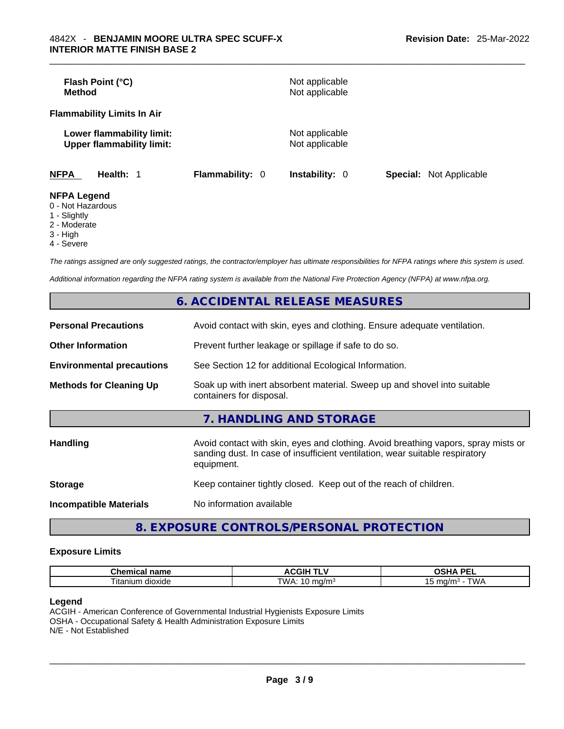| <b>Method</b>                         | Flash Point (°C)                                              |                        | Not applicable<br>Not applicable |                                |  |
|---------------------------------------|---------------------------------------------------------------|------------------------|----------------------------------|--------------------------------|--|
|                                       | <b>Flammability Limits In Air</b>                             |                        |                                  |                                |  |
|                                       | Lower flammability limit:<br><b>Upper flammability limit:</b> |                        | Not applicable<br>Not applicable |                                |  |
| <b>NFPA</b>                           | Health: 1                                                     | <b>Flammability: 0</b> | <b>Instability: 0</b>            | <b>Special:</b> Not Applicable |  |
| <b>NFPA Legend</b><br>0 Not Hozordoug |                                                               |                        |                                  |                                |  |

- 0 Not Hazardous
- 1 Slightly
- 2 Moderate
- 3 High
- 4 Severe

*The ratings assigned are only suggested ratings, the contractor/employer has ultimate responsibilities for NFPA ratings where this system is used.* 

*Additional information regarding the NFPA rating system is available from the National Fire Protection Agency (NFPA) at www.nfpa.org.* 

|                                  | <b>6. ACCIDENTAL RELEASE MEASURES</b>                                                                                                                                            |
|----------------------------------|----------------------------------------------------------------------------------------------------------------------------------------------------------------------------------|
| <b>Personal Precautions</b>      | Avoid contact with skin, eyes and clothing. Ensure adequate ventilation.                                                                                                         |
| <b>Other Information</b>         | Prevent further leakage or spillage if safe to do so.                                                                                                                            |
| <b>Environmental precautions</b> | See Section 12 for additional Ecological Information.                                                                                                                            |
| <b>Methods for Cleaning Up</b>   | Soak up with inert absorbent material. Sweep up and shovel into suitable<br>containers for disposal.                                                                             |
|                                  | 7. HANDLING AND STORAGE                                                                                                                                                          |
| <b>Handling</b>                  | Avoid contact with skin, eyes and clothing. Avoid breathing vapors, spray mists or<br>sanding dust. In case of insufficient ventilation, wear suitable respiratory<br>equipment. |
| <b>Storage</b>                   | Keep container tightly closed. Keep out of the reach of children.                                                                                                                |
| <b>Incompatible Materials</b>    | No information available                                                                                                                                                         |
|                                  |                                                                                                                                                                                  |

# **8. EXPOSURE CONTROLS/PERSONAL PROTECTION**

#### **Exposure Limits**

| $  -$<br>------<br>шьаг<br>панк                   | . .                | <b>DEI</b><br>$\mathbf{r}$<br>-- |
|---------------------------------------------------|--------------------|----------------------------------|
| --<br>∣ita<br>$\sim$<br>≧dioxide ^<br>יי<br>,,,,, | TWA.<br>171<br>. . | ' WL                             |

#### **Legend**

ACGIH - American Conference of Governmental Industrial Hygienists Exposure Limits OSHA - Occupational Safety & Health Administration Exposure Limits N/E - Not Established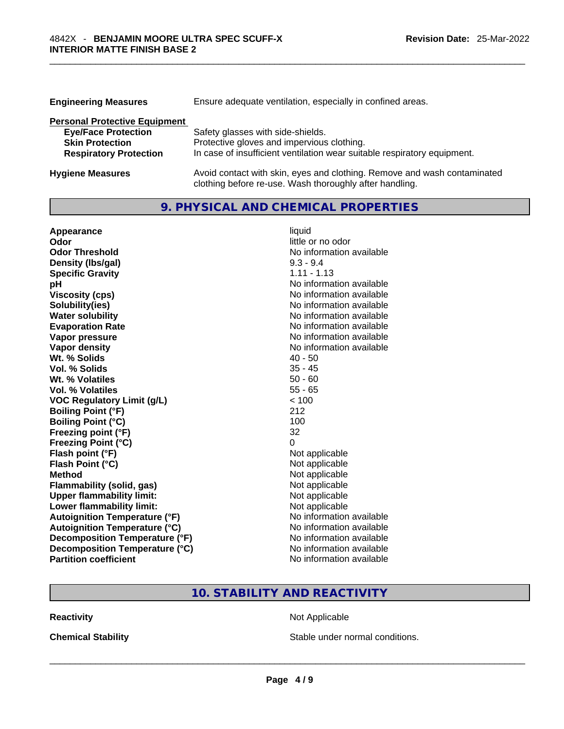| <b>Engineering Measures</b>          | Ensure adequate ventilation, especially in confined areas.                                                                          |
|--------------------------------------|-------------------------------------------------------------------------------------------------------------------------------------|
| <b>Personal Protective Equipment</b> |                                                                                                                                     |
| <b>Eye/Face Protection</b>           | Safety glasses with side-shields.                                                                                                   |
| <b>Skin Protection</b>               | Protective gloves and impervious clothing.                                                                                          |
| <b>Respiratory Protection</b>        | In case of insufficient ventilation wear suitable respiratory equipment.                                                            |
| <b>Hygiene Measures</b>              | Avoid contact with skin, eyes and clothing. Remove and wash contaminated<br>clothing before re-use. Wash thoroughly after handling. |

# **9. PHYSICAL AND CHEMICAL PROPERTIES**

| Appearance                           | liquid                   |
|--------------------------------------|--------------------------|
| Odor                                 | little or no odor        |
| <b>Odor Threshold</b>                | No information available |
| Density (Ibs/gal)                    | $9.3 - 9.4$              |
| <b>Specific Gravity</b>              | $1.11 - 1.13$            |
| рH                                   | No information available |
| <b>Viscosity (cps)</b>               | No information available |
| Solubility(ies)                      | No information available |
| <b>Water solubility</b>              | No information available |
| <b>Evaporation Rate</b>              | No information available |
| Vapor pressure                       | No information available |
| <b>Vapor density</b>                 | No information available |
| Wt. % Solids                         | $40 - 50$                |
| Vol. % Solids                        | $35 - 45$                |
| Wt. % Volatiles                      | $50 - 60$                |
| Vol. % Volatiles                     | $55 - 65$                |
| <b>VOC Regulatory Limit (g/L)</b>    | < 100                    |
| <b>Boiling Point (°F)</b>            | 212                      |
| <b>Boiling Point (°C)</b>            | 100                      |
| Freezing point (°F)                  | 32                       |
| <b>Freezing Point (°C)</b>           | 0                        |
| Flash point (°F)                     | Not applicable           |
| Flash Point (°C)                     | Not applicable           |
| <b>Method</b>                        | Not applicable           |
| <b>Flammability (solid, gas)</b>     | Not applicable           |
| <b>Upper flammability limit:</b>     | Not applicable           |
| Lower flammability limit:            | Not applicable           |
| <b>Autoignition Temperature (°F)</b> | No information available |
| <b>Autoignition Temperature (°C)</b> | No information available |
| Decomposition Temperature (°F)       | No information available |
| Decomposition Temperature (°C)       | No information available |
| <b>Partition coefficient</b>         | No information available |

# **10. STABILITY AND REACTIVITY**

**Reactivity Not Applicable Not Applicable** 

**Chemical Stability Stable under normal conditions.** Stable under normal conditions.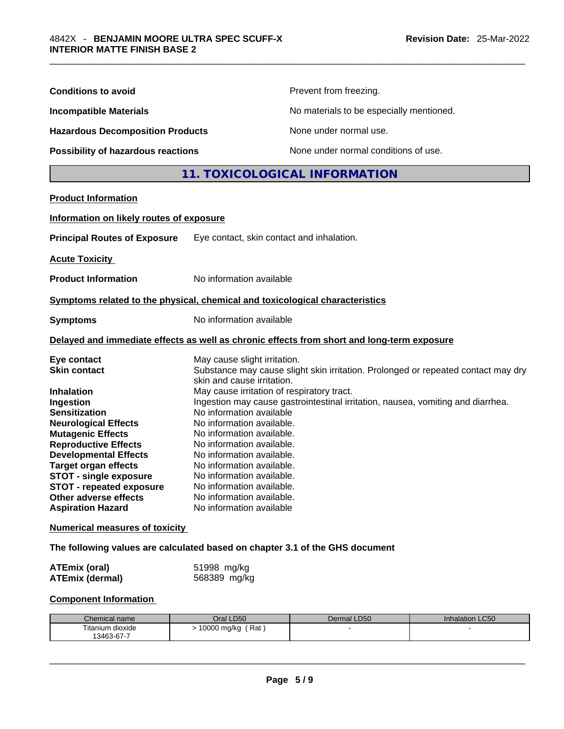| <b>Conditions to avoid</b>                                                                                                                                                                                                                                                                                                                                              |                                                                                                                                                                                                                                                                                                                                                                                                                                                                                                                                                                                  | Prevent from freezing.                   |                 |
|-------------------------------------------------------------------------------------------------------------------------------------------------------------------------------------------------------------------------------------------------------------------------------------------------------------------------------------------------------------------------|----------------------------------------------------------------------------------------------------------------------------------------------------------------------------------------------------------------------------------------------------------------------------------------------------------------------------------------------------------------------------------------------------------------------------------------------------------------------------------------------------------------------------------------------------------------------------------|------------------------------------------|-----------------|
| <b>Incompatible Materials</b>                                                                                                                                                                                                                                                                                                                                           |                                                                                                                                                                                                                                                                                                                                                                                                                                                                                                                                                                                  | No materials to be especially mentioned. |                 |
| <b>Hazardous Decomposition Products</b>                                                                                                                                                                                                                                                                                                                                 |                                                                                                                                                                                                                                                                                                                                                                                                                                                                                                                                                                                  | None under normal use.                   |                 |
| Possibility of hazardous reactions                                                                                                                                                                                                                                                                                                                                      |                                                                                                                                                                                                                                                                                                                                                                                                                                                                                                                                                                                  | None under normal conditions of use.     |                 |
|                                                                                                                                                                                                                                                                                                                                                                         |                                                                                                                                                                                                                                                                                                                                                                                                                                                                                                                                                                                  | 11. TOXICOLOGICAL INFORMATION            |                 |
| <b>Product Information</b>                                                                                                                                                                                                                                                                                                                                              |                                                                                                                                                                                                                                                                                                                                                                                                                                                                                                                                                                                  |                                          |                 |
| Information on likely routes of exposure                                                                                                                                                                                                                                                                                                                                |                                                                                                                                                                                                                                                                                                                                                                                                                                                                                                                                                                                  |                                          |                 |
| <b>Principal Routes of Exposure</b>                                                                                                                                                                                                                                                                                                                                     | Eye contact, skin contact and inhalation.                                                                                                                                                                                                                                                                                                                                                                                                                                                                                                                                        |                                          |                 |
| <b>Acute Toxicity</b>                                                                                                                                                                                                                                                                                                                                                   |                                                                                                                                                                                                                                                                                                                                                                                                                                                                                                                                                                                  |                                          |                 |
| <b>Product Information</b>                                                                                                                                                                                                                                                                                                                                              | No information available                                                                                                                                                                                                                                                                                                                                                                                                                                                                                                                                                         |                                          |                 |
| Symptoms related to the physical, chemical and toxicological characteristics                                                                                                                                                                                                                                                                                            |                                                                                                                                                                                                                                                                                                                                                                                                                                                                                                                                                                                  |                                          |                 |
| <b>Symptoms</b>                                                                                                                                                                                                                                                                                                                                                         | No information available                                                                                                                                                                                                                                                                                                                                                                                                                                                                                                                                                         |                                          |                 |
| Delayed and immediate effects as well as chronic effects from short and long-term exposure                                                                                                                                                                                                                                                                              |                                                                                                                                                                                                                                                                                                                                                                                                                                                                                                                                                                                  |                                          |                 |
| Eye contact<br><b>Skin contact</b><br><b>Inhalation</b><br>Ingestion<br><b>Sensitization</b><br><b>Neurological Effects</b><br><b>Mutagenic Effects</b><br><b>Reproductive Effects</b><br><b>Developmental Effects</b><br><b>Target organ effects</b><br><b>STOT - single exposure</b><br>STOT - repeated exposure<br>Other adverse effects<br><b>Aspiration Hazard</b> | May cause slight irritation.<br>Substance may cause slight skin irritation. Prolonged or repeated contact may dry<br>skin and cause irritation.<br>May cause irritation of respiratory tract.<br>Ingestion may cause gastrointestinal irritation, nausea, vomiting and diarrhea.<br>No information available<br>No information available.<br>No information available.<br>No information available.<br>No information available.<br>No information available.<br>No information available.<br>No information available.<br>No information available.<br>No information available |                                          |                 |
| <b>Numerical measures of toxicity</b>                                                                                                                                                                                                                                                                                                                                   |                                                                                                                                                                                                                                                                                                                                                                                                                                                                                                                                                                                  |                                          |                 |
| The following values are calculated based on chapter 3.1 of the GHS document                                                                                                                                                                                                                                                                                            |                                                                                                                                                                                                                                                                                                                                                                                                                                                                                                                                                                                  |                                          |                 |
| <b>ATEmix (oral)</b><br><b>ATEmix (dermal)</b>                                                                                                                                                                                                                                                                                                                          | 51998 mg/kg<br>568389 mg/kg                                                                                                                                                                                                                                                                                                                                                                                                                                                                                                                                                      |                                          |                 |
| <b>Component Information</b>                                                                                                                                                                                                                                                                                                                                            |                                                                                                                                                                                                                                                                                                                                                                                                                                                                                                                                                                                  |                                          |                 |
| Chemical name<br>Titanium dioxide<br>13463-67-7                                                                                                                                                                                                                                                                                                                         | Oral LD50<br>$> 10000$ mg/kg (Rat)                                                                                                                                                                                                                                                                                                                                                                                                                                                                                                                                               | Dermal LD50                              | Inhalation LC50 |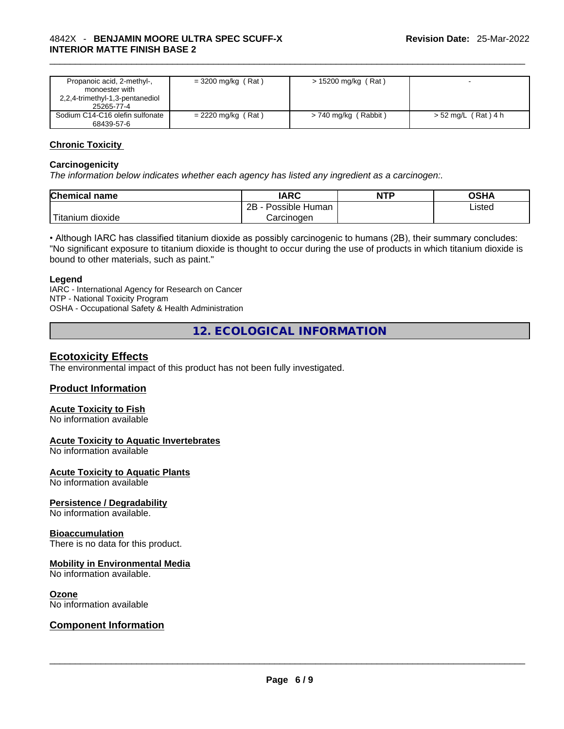| $=$ 3200 mg/kg (Rat) | $> 15200$ mg/kg (Rat) |                     |
|----------------------|-----------------------|---------------------|
| $= 2220$ mg/kg (Rat) | > 740 mg/kg (Rabbit)  | > 52 mg/L (Rat) 4 h |
|                      |                       |                     |

#### **Chronic Toxicity**

#### **Carcinogenicity**

*The information below indicates whether each agency has listed any ingredient as a carcinogen:.* 

| <b>Chemical name</b>    | IARC                 | <b>NTP</b> | OSHA   |
|-------------------------|----------------------|------------|--------|
|                         | 2Β<br>Possible Human |            | ∟isted |
| ' Titanium 、<br>dioxide | Carcinoɑen           |            |        |

• Although IARC has classified titanium dioxide as possibly carcinogenic to humans (2B), their summary concludes: "No significant exposure to titanium dioxide is thought to occur during the use of products in which titanium dioxide is bound to other materials, such as paint."

#### **Legend**

IARC - International Agency for Research on Cancer NTP - National Toxicity Program OSHA - Occupational Safety & Health Administration

**12. ECOLOGICAL INFORMATION** 

# **Ecotoxicity Effects**

The environmental impact of this product has not been fully investigated.

#### **Product Information**

#### **Acute Toxicity to Fish**

No information available

#### **Acute Toxicity to Aquatic Invertebrates**

No information available

#### **Acute Toxicity to Aquatic Plants**

No information available

#### **Persistence / Degradability**

No information available.

#### **Bioaccumulation**

There is no data for this product.

#### **Mobility in Environmental Media**

No information available.

**Ozone**<br>No information available

# No information available \_\_\_\_\_\_\_\_\_\_\_\_\_\_\_\_\_\_\_\_\_\_\_\_\_\_\_\_\_\_\_\_\_\_\_\_\_\_\_\_\_\_\_\_\_\_\_\_\_\_\_\_\_\_\_\_\_\_\_\_\_\_\_\_\_\_\_\_\_\_\_\_\_\_\_\_\_\_\_\_\_\_\_\_\_\_\_\_\_\_\_\_\_ **Component Information**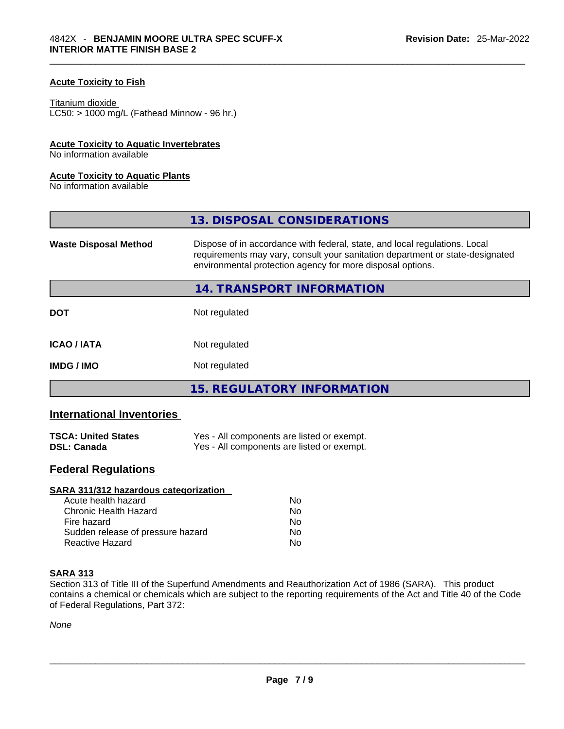### **Acute Toxicity to Fish**

#### Titanium dioxide

 $LCS0: > 1000$  mg/L (Fathead Minnow - 96 hr.)

#### **Acute Toxicity to Aquatic Invertebrates**

No information available

#### **Acute Toxicity to Aquatic Plants**

No information available

|                              | 13. DISPOSAL CONSIDERATIONS                                                                                                                                                                                               |
|------------------------------|---------------------------------------------------------------------------------------------------------------------------------------------------------------------------------------------------------------------------|
| <b>Waste Disposal Method</b> | Dispose of in accordance with federal, state, and local regulations. Local<br>requirements may vary, consult your sanitation department or state-designated<br>environmental protection agency for more disposal options. |
|                              | 14. TRANSPORT INFORMATION                                                                                                                                                                                                 |
| <b>DOT</b>                   | Not regulated                                                                                                                                                                                                             |
| <b>ICAO/IATA</b>             | Not regulated                                                                                                                                                                                                             |
| <b>IMDG/IMO</b>              | Not regulated                                                                                                                                                                                                             |
|                              | 15. REGULATORY INFORMATION                                                                                                                                                                                                |

# **International Inventories**

| <b>TSCA: United States</b> | Yes - All components are listed or exempt. |
|----------------------------|--------------------------------------------|
| <b>DSL: Canada</b>         | Yes - All components are listed or exempt. |

# **Federal Regulations**

| Nο             |  |
|----------------|--|
| No             |  |
| N <sub>0</sub> |  |
| No             |  |
| No             |  |
|                |  |

#### **SARA 313**

Section 313 of Title III of the Superfund Amendments and Reauthorization Act of 1986 (SARA). This product contains a chemical or chemicals which are subject to the reporting requirements of the Act and Title 40 of the Code of Federal Regulations, Part 372:

*None*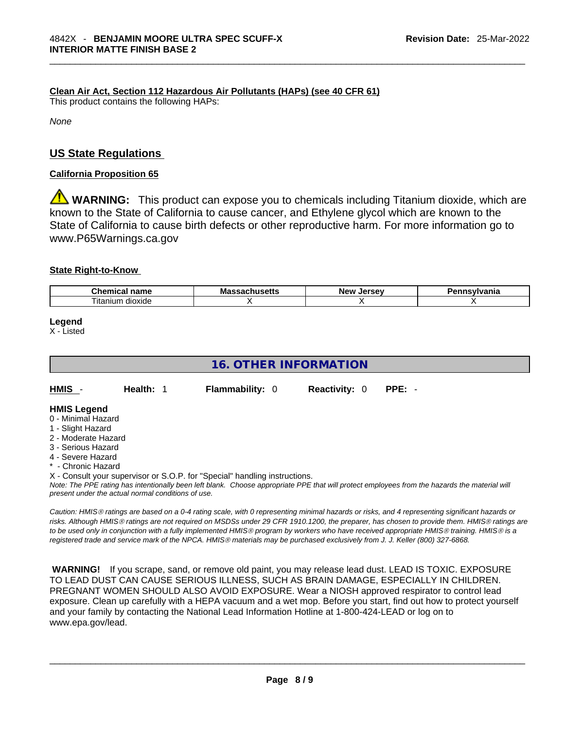## **Clean Air Act,Section 112 Hazardous Air Pollutants (HAPs) (see 40 CFR 61)**

This product contains the following HAPs:

*None*

# **US State Regulations**

#### **California Proposition 65**

**WARNING:** This product can expose you to chemicals including Titanium dioxide, which are known to the State of California to cause cancer, and Ethylene glycol which are known to the State of California to cause birth defects or other reproductive harm. For more information go to www.P65Warnings.ca.gov

#### **State Right-to-Know**

| $\sim$<br>$  -$<br>--<br><br>чанк              | Мô | lorcov<br>Nev | -----------<br>нс |
|------------------------------------------------|----|---------------|-------------------|
| $\overline{\phantom{a}}$<br>dioxide<br>ıtanıum |    |               |                   |

**Legend**

X - Listed

# **16. OTHER INFORMATION**

| HMIS                                                       | Health: 1 | <b>Flammability: 0</b> | <b>Reactivity: 0</b> | PPE: - |
|------------------------------------------------------------|-----------|------------------------|----------------------|--------|
| <b>HMIS Legend</b><br>$\bigcap$ . A distance of the second |           |                        |                      |        |

- 0 Minimal Hazard
- 1 Slight Hazard
- 2 Moderate Hazard
- 3 Serious Hazard
- 4 Severe Hazard
- **Chronic Hazard**
- X Consult your supervisor or S.O.P. for "Special" handling instructions.

Note: The PPE rating has intentionally been left blank. Choose appropriate PPE that will protect employees from the hazards the material will *present under the actual normal conditions of use.* 

*Caution: HMISÒ ratings are based on a 0-4 rating scale, with 0 representing minimal hazards or risks, and 4 representing significant hazards or risks. Although HMISÒ ratings are not required on MSDSs under 29 CFR 1910.1200, the preparer, has chosen to provide them. HMISÒ ratings are to be used only in conjunction with a fully implemented HMISÒ program by workers who have received appropriate HMISÒ training. HMISÒ is a registered trade and service mark of the NPCA. HMISÒ materials may be purchased exclusively from J. J. Keller (800) 327-6868.* 

 **WARNING!** If you scrape, sand, or remove old paint, you may release lead dust. LEAD IS TOXIC. EXPOSURE TO LEAD DUST CAN CAUSE SERIOUS ILLNESS, SUCH AS BRAIN DAMAGE, ESPECIALLY IN CHILDREN. PREGNANT WOMEN SHOULD ALSO AVOID EXPOSURE.Wear a NIOSH approved respirator to control lead exposure. Clean up carefully with a HEPA vacuum and a wet mop. Before you start, find out how to protect yourself and your family by contacting the National Lead Information Hotline at 1-800-424-LEAD or log on to www.epa.gov/lead.